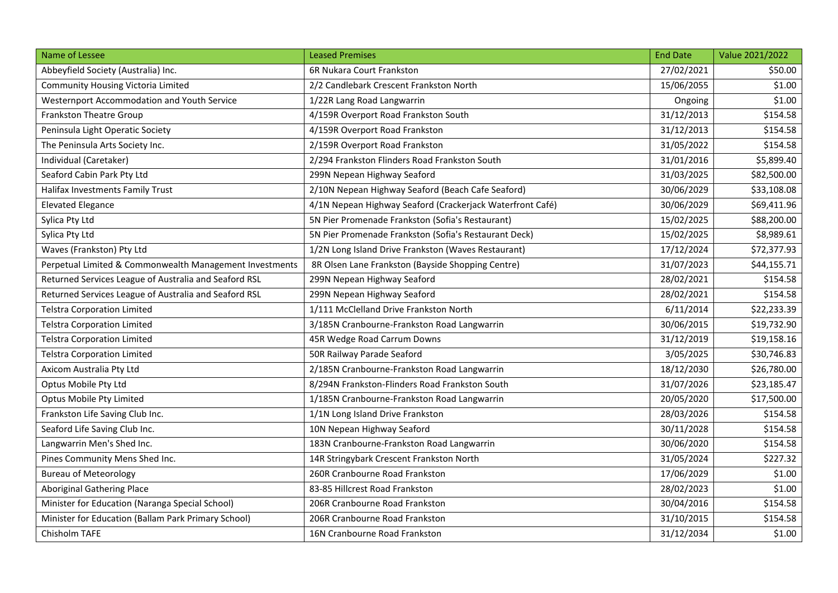| Name of Lessee                                          | <b>Leased Premises</b>                                    | <b>End Date</b> | Value 2021/2022 |
|---------------------------------------------------------|-----------------------------------------------------------|-----------------|-----------------|
| Abbeyfield Society (Australia) Inc.                     | 6R Nukara Court Frankston                                 | 27/02/2021      | \$50.00         |
| Community Housing Victoria Limited                      | 2/2 Candlebark Crescent Frankston North                   | 15/06/2055      | \$1.00          |
| Westernport Accommodation and Youth Service             | 1/22R Lang Road Langwarrin                                | Ongoing         | \$1.00          |
| <b>Frankston Theatre Group</b>                          | 4/159R Overport Road Frankston South                      | 31/12/2013      | \$154.58        |
| Peninsula Light Operatic Society                        | 4/159R Overport Road Frankston                            | 31/12/2013      | \$154.58        |
| The Peninsula Arts Society Inc.                         | 2/159R Overport Road Frankston                            | 31/05/2022      | \$154.58        |
| Individual (Caretaker)                                  | 2/294 Frankston Flinders Road Frankston South             | 31/01/2016      | \$5,899.40      |
| Seaford Cabin Park Pty Ltd                              | 299N Nepean Highway Seaford                               | 31/03/2025      | \$82,500.00     |
| Halifax Investments Family Trust                        | 2/10N Nepean Highway Seaford (Beach Cafe Seaford)         | 30/06/2029      | \$33,108.08     |
| <b>Elevated Elegance</b>                                | 4/1N Nepean Highway Seaford (Crackerjack Waterfront Café) | 30/06/2029      | \$69,411.96     |
| Sylica Pty Ltd                                          | 5N Pier Promenade Frankston (Sofia's Restaurant)          | 15/02/2025      | \$88,200.00     |
| Sylica Pty Ltd                                          | 5N Pier Promenade Frankston (Sofia's Restaurant Deck)     | 15/02/2025      | \$8,989.61      |
| Waves (Frankston) Pty Ltd                               | 1/2N Long Island Drive Frankston (Waves Restaurant)       | 17/12/2024      | \$72,377.93     |
| Perpetual Limited & Commonwealth Management Investments | 8R Olsen Lane Frankston (Bayside Shopping Centre)         | 31/07/2023      | \$44,155.71     |
| Returned Services League of Australia and Seaford RSL   | 299N Nepean Highway Seaford                               | 28/02/2021      | \$154.58        |
| Returned Services League of Australia and Seaford RSL   | 299N Nepean Highway Seaford                               | 28/02/2021      | \$154.58        |
| <b>Telstra Corporation Limited</b>                      | 1/111 McClelland Drive Frankston North                    | 6/11/2014       | \$22,233.39     |
| <b>Telstra Corporation Limited</b>                      | 3/185N Cranbourne-Frankston Road Langwarrin               | 30/06/2015      | \$19,732.90     |
| <b>Telstra Corporation Limited</b>                      | 45R Wedge Road Carrum Downs                               | 31/12/2019      | \$19,158.16     |
| <b>Telstra Corporation Limited</b>                      | 50R Railway Parade Seaford                                | 3/05/2025       | \$30,746.83     |
| Axicom Australia Pty Ltd                                | 2/185N Cranbourne-Frankston Road Langwarrin               | 18/12/2030      | \$26,780.00     |
| Optus Mobile Pty Ltd                                    | 8/294N Frankston-Flinders Road Frankston South            | 31/07/2026      | \$23,185.47     |
| <b>Optus Mobile Pty Limited</b>                         | 1/185N Cranbourne-Frankston Road Langwarrin               | 20/05/2020      | \$17,500.00     |
| Frankston Life Saving Club Inc.                         | 1/1N Long Island Drive Frankston                          | 28/03/2026      | \$154.58        |
| Seaford Life Saving Club Inc.                           | 10N Nepean Highway Seaford                                | 30/11/2028      | \$154.58        |
| Langwarrin Men's Shed Inc.                              | 183N Cranbourne-Frankston Road Langwarrin                 | 30/06/2020      | \$154.58        |
| Pines Community Mens Shed Inc.                          | 14R Stringybark Crescent Frankston North                  | 31/05/2024      | \$227.32        |
| <b>Bureau of Meteorology</b>                            | 260R Cranbourne Road Frankston                            | 17/06/2029      | \$1.00          |
| <b>Aboriginal Gathering Place</b>                       | 83-85 Hillcrest Road Frankston                            | 28/02/2023      | \$1.00          |
| Minister for Education (Naranga Special School)         | 206R Cranbourne Road Frankston                            | 30/04/2016      | \$154.58        |
| Minister for Education (Ballam Park Primary School)     | 206R Cranbourne Road Frankston                            | 31/10/2015      | \$154.58        |
| Chisholm TAFE                                           | 16N Cranbourne Road Frankston                             | 31/12/2034      | \$1.00          |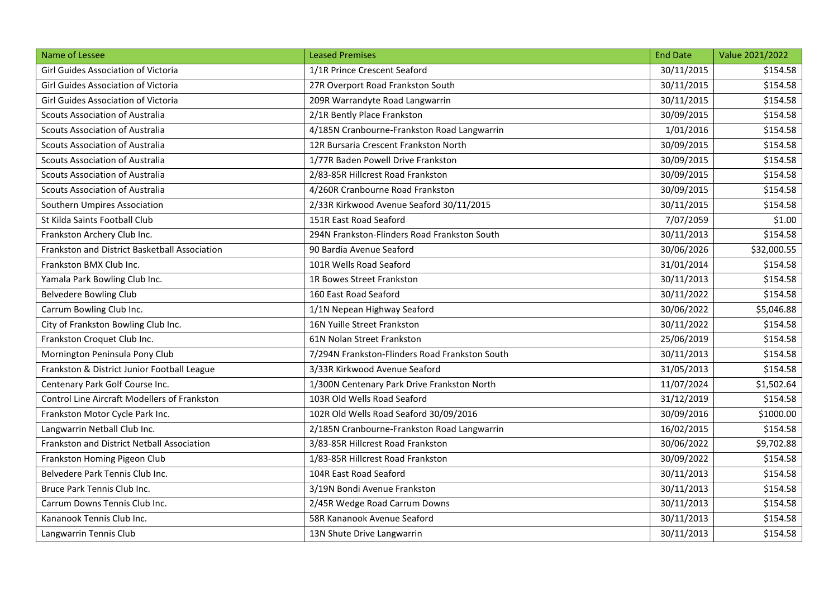| Name of Lessee                                      | <b>Leased Premises</b>                         | <b>End Date</b> | Value 2021/2022 |
|-----------------------------------------------------|------------------------------------------------|-----------------|-----------------|
| Girl Guides Association of Victoria                 | 1/1R Prince Crescent Seaford                   | 30/11/2015      | \$154.58        |
| Girl Guides Association of Victoria                 | 27R Overport Road Frankston South              | 30/11/2015      | \$154.58        |
| Girl Guides Association of Victoria                 | 209R Warrandyte Road Langwarrin                | 30/11/2015      | \$154.58        |
| <b>Scouts Association of Australia</b>              | 2/1R Bently Place Frankston                    | 30/09/2015      | \$154.58        |
| <b>Scouts Association of Australia</b>              | 4/185N Cranbourne-Frankston Road Langwarrin    | 1/01/2016       | \$154.58        |
| <b>Scouts Association of Australia</b>              | 12R Bursaria Crescent Frankston North          | 30/09/2015      | \$154.58        |
| <b>Scouts Association of Australia</b>              | 1/77R Baden Powell Drive Frankston             | 30/09/2015      | \$154.58        |
| <b>Scouts Association of Australia</b>              | 2/83-85R Hillcrest Road Frankston              | 30/09/2015      | \$154.58        |
| <b>Scouts Association of Australia</b>              | 4/260R Cranbourne Road Frankston               | 30/09/2015      | \$154.58        |
| Southern Umpires Association                        | 2/33R Kirkwood Avenue Seaford 30/11/2015       | 30/11/2015      | \$154.58        |
| St Kilda Saints Football Club                       | 151R East Road Seaford                         | 7/07/2059       | \$1.00          |
| Frankston Archery Club Inc.                         | 294N Frankston-Flinders Road Frankston South   | 30/11/2013      | \$154.58        |
| Frankston and District Basketball Association       | 90 Bardia Avenue Seaford                       | 30/06/2026      | \$32,000.55     |
| Frankston BMX Club Inc.                             | 101R Wells Road Seaford                        | 31/01/2014      | \$154.58        |
| Yamala Park Bowling Club Inc.                       | 1R Bowes Street Frankston                      | 30/11/2013      | \$154.58        |
| <b>Belvedere Bowling Club</b>                       | 160 East Road Seaford                          | 30/11/2022      | \$154.58        |
| Carrum Bowling Club Inc.                            | 1/1N Nepean Highway Seaford                    | 30/06/2022      | \$5,046.88      |
| City of Frankston Bowling Club Inc.                 | 16N Yuille Street Frankston                    | 30/11/2022      | \$154.58        |
| Frankston Croquet Club Inc.                         | 61N Nolan Street Frankston                     | 25/06/2019      | \$154.58        |
| Mornington Peninsula Pony Club                      | 7/294N Frankston-Flinders Road Frankston South | 30/11/2013      | \$154.58        |
| Frankston & District Junior Football League         | 3/33R Kirkwood Avenue Seaford                  | 31/05/2013      | \$154.58        |
| Centenary Park Golf Course Inc.                     | 1/300N Centenary Park Drive Frankston North    | 11/07/2024      | \$1,502.64      |
| <b>Control Line Aircraft Modellers of Frankston</b> | 103R Old Wells Road Seaford                    | 31/12/2019      | \$154.58        |
| Frankston Motor Cycle Park Inc.                     | 102R Old Wells Road Seaford 30/09/2016         | 30/09/2016      | \$1000.00       |
| Langwarrin Netball Club Inc.                        | 2/185N Cranbourne-Frankston Road Langwarrin    | 16/02/2015      | \$154.58        |
| Frankston and District Netball Association          | 3/83-85R Hillcrest Road Frankston              | 30/06/2022      | \$9,702.88      |
| Frankston Homing Pigeon Club                        | 1/83-85R Hillcrest Road Frankston              | 30/09/2022      | \$154.58        |
| Belvedere Park Tennis Club Inc.                     | 104R East Road Seaford                         | 30/11/2013      | \$154.58        |
| Bruce Park Tennis Club Inc.                         | 3/19N Bondi Avenue Frankston                   | 30/11/2013      | \$154.58        |
| Carrum Downs Tennis Club Inc.                       | 2/45R Wedge Road Carrum Downs                  | 30/11/2013      | \$154.58        |
| Kananook Tennis Club Inc.                           | 58R Kananook Avenue Seaford                    | 30/11/2013      | \$154.58        |
| Langwarrin Tennis Club                              | 13N Shute Drive Langwarrin                     | 30/11/2013      | \$154.58        |